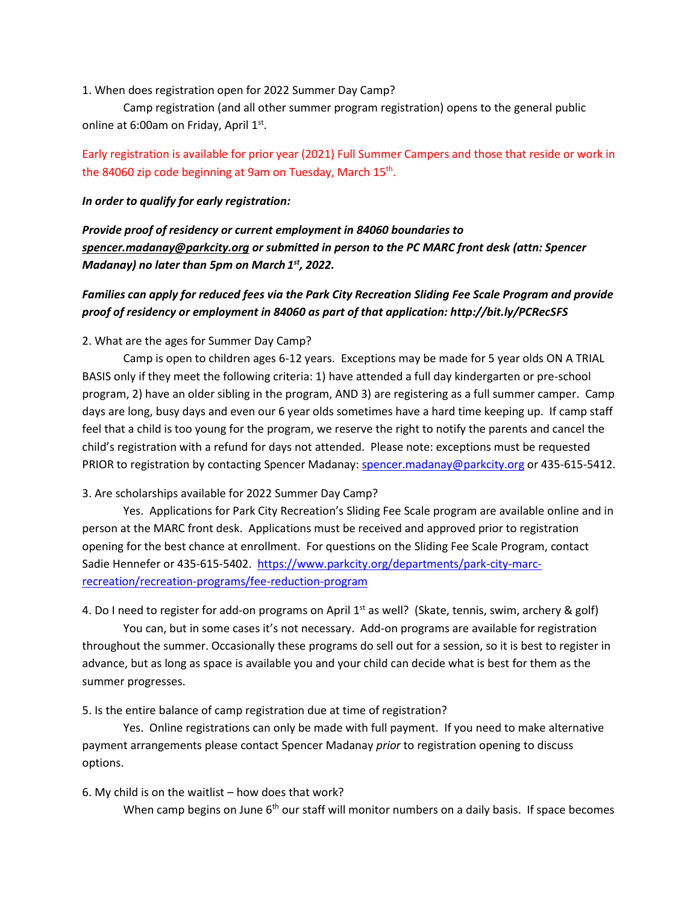1. When does registration open for 2022 Summer Day Camp?

Camp registration (and all other summer program registration) opens to the general public online at 6:00am on Friday, April 1st.

# Early registration is available for prior year (2021) Full Summer Campers and those that reside or work in the 84060 zip code beginning at 9am on Tuesday, March 15<sup>th</sup>.

#### *In order to qualify for early registration:*

*Provide proof of residency or current employment in 84060 boundaries to [spencer.madanay@parkcity.org](mailto:spencer.madanay@parkcity.org) or submitted in person to the PC MARC front desk (attn: Spencer Madanay) no later than 5pm on March 1 st, 2022.*

## *Families can apply for reduced fees via the Park City Recreation Sliding Fee Scale Program and provide proof of residency or employment in 84060 as part of that application: http://bit.ly/PCRecSFS*

### 2. What are the ages for Summer Day Camp?

Camp is open to children ages 6-12 years. Exceptions may be made for 5 year olds ON A TRIAL BASIS only if they meet the following criteria: 1) have attended a full day kindergarten or pre-school program, 2) have an older sibling in the program, AND 3) are registering as a full summer camper. Camp days are long, busy days and even our 6 year olds sometimes have a hard time keeping up. If camp staff feel that a child is too young for the program, we reserve the right to notify the parents and cancel the child's registration with a refund for days not attended. Please note: exceptions must be requested PRIOR to registration by contacting Spencer Madanay: [spencer.madanay@parkcity.org](mailto:spencer.madanay@parkcity.org) or 435-615-5412.

#### 3. Are scholarships available for 2022 Summer Day Camp?

Yes. Applications for Park City Recreation's Sliding Fee Scale program are available online and in person at the MARC front desk. Applications must be received and approved prior to registration opening for the best chance at enrollment. For questions on the Sliding Fee Scale Program, contact Sadie Hennefer or 435-615-5402. [https://www.parkcity.org/departments/park-city-marc](https://www.parkcity.org/departments/park-city-marc-recreation/recreation-programs/fee-reduction-program)[recreation/recreation-programs/fee-reduction-program](https://www.parkcity.org/departments/park-city-marc-recreation/recreation-programs/fee-reduction-program)

4. Do I need to register for add-on programs on April  $1<sup>st</sup>$  as well? (Skate, tennis, swim, archery & golf)

You can, but in some cases it's not necessary. Add-on programs are available for registration throughout the summer. Occasionally these programs do sell out for a session, so it is best to register in advance, but as long as space is available you and your child can decide what is best for them as the summer progresses.

5. Is the entire balance of camp registration due at time of registration?

Yes. Online registrations can only be made with full payment. If you need to make alternative payment arrangements please contact Spencer Madanay *prior* to registration opening to discuss options.

#### 6. My child is on the waitlist – how does that work?

When camp begins on June  $6<sup>th</sup>$  our staff will monitor numbers on a daily basis. If space becomes